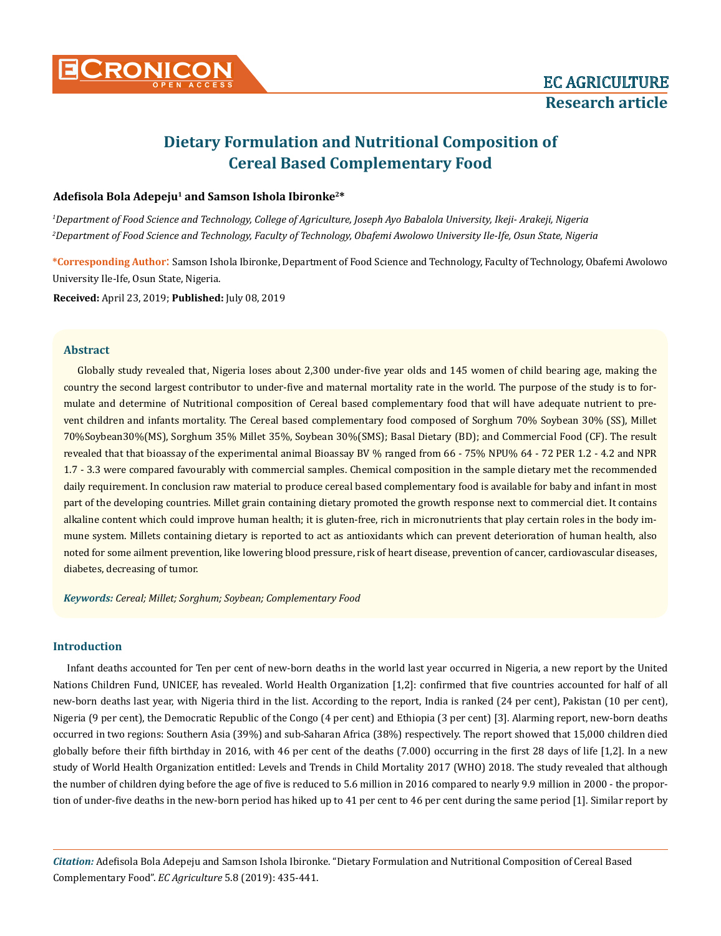

# **Dietary Formulation and Nutritional Composition of Cereal Based Complementary Food**

## **Adefisola Bola Adepeju1 and Samson Ishola Ibironke2\***

*1 Department of Food Science and Technology, College of Agriculture, Joseph Ayo Babalola University, Ikeji- Arakeji, Nigeria 2 Department of Food Science and Technology, Faculty of Technology, Obafemi Awolowo University Ile-Ife, Osun State, Nigeria*

**\*Corresponding Author**: Samson Ishola Ibironke, Department of Food Science and Technology, Faculty of Technology, Obafemi Awolowo University Ile-Ife, Osun State, Nigeria.

**Received:** April 23, 2019; **Published:** July 08, 2019

#### **Abstract**

Globally study revealed that, Nigeria loses about 2,300 under-five year olds and 145 women of child bearing age, making the country the second largest contributor to under-five and maternal mortality rate in the world. The purpose of the study is to formulate and determine of Nutritional composition of Cereal based complementary food that will have adequate nutrient to prevent children and infants mortality. The Cereal based complementary food composed of Sorghum 70% Soybean 30% (SS), Millet 70%Soybean30%(MS), Sorghum 35% Millet 35%, Soybean 30%(SMS); Basal Dietary (BD); and Commercial Food (CF). The result revealed that that bioassay of the experimental animal Bioassay BV % ranged from 66 - 75% NPU% 64 - 72 PER 1.2 - 4.2 and NPR 1.7 - 3.3 were compared favourably with commercial samples. Chemical composition in the sample dietary met the recommended daily requirement. In conclusion raw material to produce cereal based complementary food is available for baby and infant in most part of the developing countries. Millet grain containing dietary promoted the growth response next to commercial diet. It contains alkaline content which could improve human health; it is gluten-free, rich in micronutrients that play certain roles in the body immune system. Millets containing dietary is reported to act as antioxidants which can prevent deterioration of human health, also noted for some ailment prevention, like lowering blood pressure, risk of heart disease, prevention of cancer, cardiovascular diseases, diabetes, decreasing of tumor.

*Keywords: Cereal; Millet; Sorghum; Soybean; Complementary Food*

# **Introduction**

Infant deaths accounted for Ten per cent of new-born deaths in the world last year occurred in Nigeria, a new report by the United Nations Children Fund, UNICEF, has revealed. World Health Organization [1,2]: confirmed that five countries accounted for half of all new-born deaths last year, with Nigeria third in the list. According to the report, India is ranked (24 per cent), Pakistan (10 per cent), Nigeria (9 per cent), the Democratic Republic of the Congo (4 per cent) and Ethiopia (3 per cent) [3]. Alarming report, new-born deaths occurred in two regions: Southern Asia (39%) and sub-Saharan Africa (38%) respectively. The report showed that 15,000 children died globally before their fifth birthday in 2016, with 46 per cent of the deaths (7.000) occurring in the first 28 days of life [1,2]. In a new study of World Health Organization entitled: Levels and Trends in Child Mortality 2017 (WHO) 2018. The study revealed that although the number of children dying before the age of five is reduced to 5.6 million in 2016 compared to nearly 9.9 million in 2000 - the proportion of under-five deaths in the new-born period has hiked up to 41 per cent to 46 per cent during the same period [1]. Similar report by

*Citation:* Adefisola Bola Adepeju and Samson Ishola Ibironke. "Dietary Formulation and Nutritional Composition of Cereal Based Complementary Food". *EC Agriculture* 5.8 (2019): 435-441.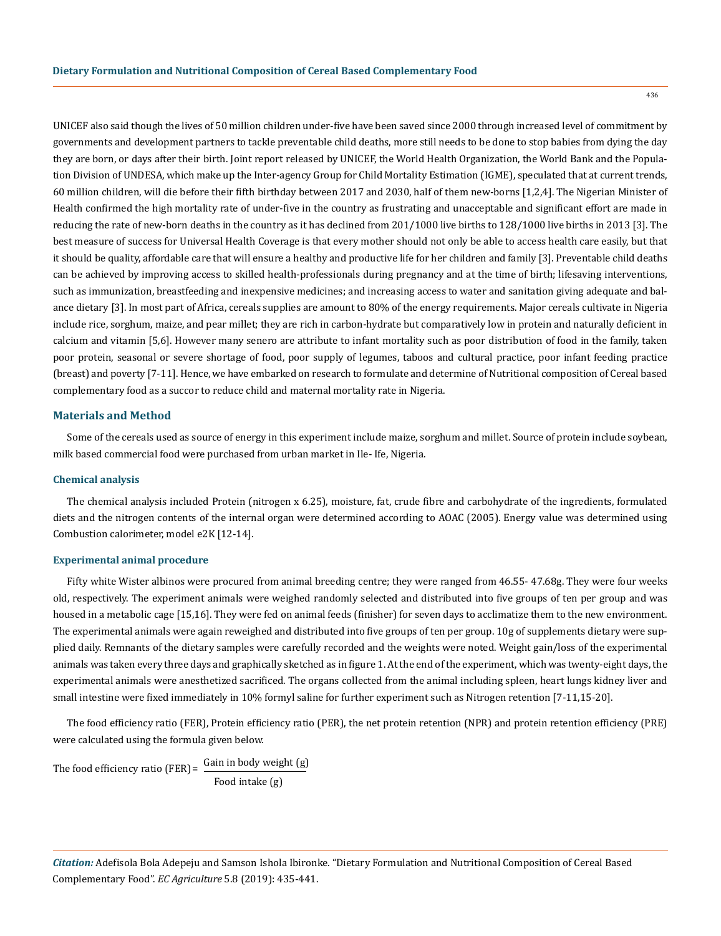436

UNICEF also said though the lives of 50 million children under-five have been saved since 2000 through increased level of commitment by governments and development partners to tackle preventable child deaths, more still needs to be done to stop babies from dying the day they are born, or days after their birth. Joint report released by UNICEF, the World Health Organization, the World Bank and the Population Division of UNDESA, which make up the Inter-agency Group for Child Mortality Estimation (IGME), speculated that at current trends, 60 million children, will die before their fifth birthday between 2017 and 2030, half of them new-borns [1,2,4]. The Nigerian Minister of Health confirmed the high mortality rate of under-five in the country as frustrating and unacceptable and significant effort are made in reducing the rate of new-born deaths in the country as it has declined from 201/1000 live births to 128/1000 live births in 2013 [3]. The best measure of success for Universal Health Coverage is that every mother should not only be able to access health care easily, but that it should be quality, affordable care that will ensure a healthy and productive life for her children and family [3]. Preventable child deaths can be achieved by improving access to skilled health-professionals during pregnancy and at the time of birth; lifesaving interventions, such as immunization, breastfeeding and inexpensive medicines; and increasing access to water and sanitation giving adequate and balance dietary [3]. In most part of Africa, cereals supplies are amount to 80% of the energy requirements. Major cereals cultivate in Nigeria include rice, sorghum, maize, and pear millet; they are rich in carbon-hydrate but comparatively low in protein and naturally deficient in calcium and vitamin [5,6]. However many senero are attribute to infant mortality such as poor distribution of food in the family, taken poor protein, seasonal or severe shortage of food, poor supply of legumes, taboos and cultural practice, poor infant feeding practice (breast) and poverty [7-11]. Hence, we have embarked on research to formulate and determine of Nutritional composition of Cereal based complementary food as a succor to reduce child and maternal mortality rate in Nigeria.

#### **Materials and Method**

Some of the cereals used as source of energy in this experiment include maize, sorghum and millet. Source of protein include soybean, milk based commercial food were purchased from urban market in Ile- Ife, Nigeria.

#### **Chemical analysis**

The chemical analysis included Protein (nitrogen x 6.25), moisture, fat, crude fibre and carbohydrate of the ingredients, formulated diets and the nitrogen contents of the internal organ were determined according to AOAC (2005). Energy value was determined using Combustion calorimeter, model e2K [12-14].

#### **Experimental animal procedure**

Fifty white Wister albinos were procured from animal breeding centre; they were ranged from 46.55- 47.68g. They were four weeks old, respectively. The experiment animals were weighed randomly selected and distributed into five groups of ten per group and was housed in a metabolic cage [15,16]. They were fed on animal feeds (finisher) for seven days to acclimatize them to the new environment. The experimental animals were again reweighed and distributed into five groups of ten per group. 10g of supplements dietary were supplied daily. Remnants of the dietary samples were carefully recorded and the weights were noted. Weight gain/loss of the experimental animals was taken every three days and graphically sketched as in figure 1. At the end of the experiment, which was twenty-eight days, the experimental animals were anesthetized sacrificed. The organs collected from the animal including spleen, heart lungs kidney liver and small intestine were fixed immediately in 10% formyl saline for further experiment such as Nitrogen retention [7-11,15-20].

The food efficiency ratio (FER), Protein efficiency ratio (PER), the net protein retention (NPR) and protein retention efficiency (PRE) were calculated using the formula given below.

The food efficiency ratio (FER) =  $\frac{Gain in body weight (g)}{g}$ Food intake (g)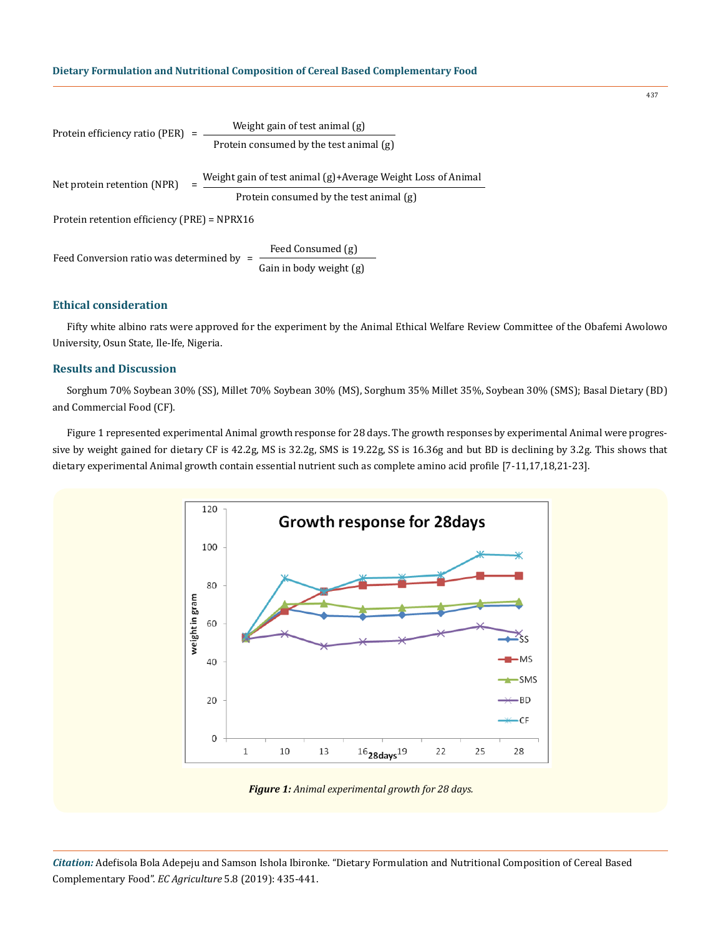Protein efficiency ratio (PER) =  $\frac{\text{Weight gain of test animal (g)}}{\text{Weight gain of the total}}$ Protein consumed by the test animal (g) Net protein retention (NPR) =  $\frac{\text{Weight gain of test animal (g)}+Average Weight Loss of Animal}}{}$ Protein consumed by the test animal (g) Feed Conversion ratio was determined by =  $\frac{\text{Feed consumed (g)}}{\text{Gain in body weight (g)}}$ Protein retention efficiency (PRE) = NPRX16

#### **Ethical consideration**

Fifty white albino rats were approved for the experiment by the Animal Ethical Welfare Review Committee of the Obafemi Awolowo University, Osun State, Ile-Ife, Nigeria.

# **Results and Discussion**

Sorghum 70% Soybean 30% (SS), Millet 70% Soybean 30% (MS), Sorghum 35% Millet 35%, Soybean 30% (SMS); Basal Dietary (BD) and Commercial Food (CF).

Figure 1 represented experimental Animal growth response for 28 days. The growth responses by experimental Animal were progressive by weight gained for dietary CF is 42.2g, MS is 32.2g, SMS is 19.22g, SS is 16.36g and but BD is declining by 3.2g. This shows that dietary experimental Animal growth contain essential nutrient such as complete amino acid profile [7-11,17,18,21-23].





*Citation:* Adefisola Bola Adepeju and Samson Ishola Ibironke. "Dietary Formulation and Nutritional Composition of Cereal Based Complementary Food". *EC Agriculture* 5.8 (2019): 435-441.

437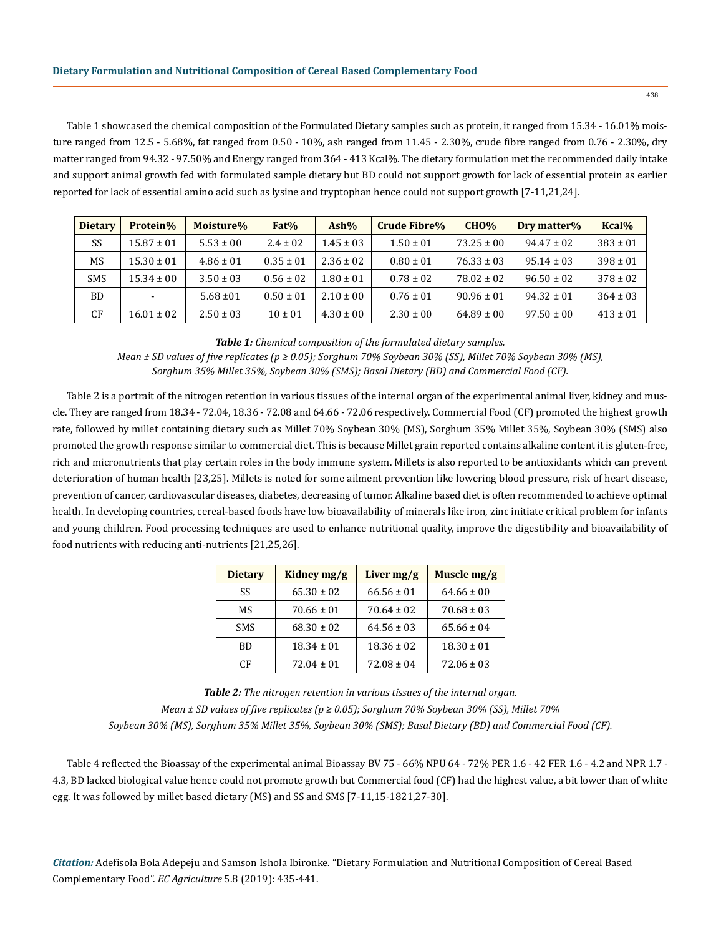Table 1 showcased the chemical composition of the Formulated Dietary samples such as protein, it ranged from 15.34 - 16.01% moisture ranged from 12.5 - 5.68%, fat ranged from 0.50 - 10%, ash ranged from 11.45 - 2.30%, crude fibre ranged from 0.76 - 2.30%, dry matter ranged from 94.32 - 97.50% and Energy ranged from 364 - 413 Kcal%. The dietary formulation met the recommended daily intake and support animal growth fed with formulated sample dietary but BD could not support growth for lack of essential protein as earlier reported for lack of essential amino acid such as lysine and tryptophan hence could not support growth [7-11,21,24].

| <b>Dietary</b> | Protein%       | Moisture%      | Fat%          | $Ash\%$        | <b>Crude Fibre%</b> | CHO%           | Dry matter%    | Kcal%        |
|----------------|----------------|----------------|---------------|----------------|---------------------|----------------|----------------|--------------|
| SS             | $15.87 \pm 01$ | $5.53 \pm 00$  | $2.4 \pm 02$  | $1.45 \pm 03$  | $1.50 \pm 01$       | $73.25 \pm 00$ | $94.47 \pm 02$ | $383 \pm 01$ |
| MS             | $15.30 \pm 01$ | $4.86 \pm 01$  | $0.35 \pm 01$ | $2.36 \pm 02$  | $0.80 \pm 01$       | $76.33 \pm 03$ | $95.14 \pm 03$ | $398 \pm 01$ |
| <b>SMS</b>     | $15.34 \pm 00$ | $3.50 \pm 03$  | $0.56 \pm 02$ | $1.80 \pm 01$  | $0.78 \pm 0.2$      | $78.02 \pm 02$ | $96.50 \pm 02$ | $378 \pm 02$ |
| BD             | $\blacksquare$ | $5.68 \pm 01$  | $0.50 \pm 01$ | $2.10 \pm 0.0$ | $0.76 \pm 01$       | $90.96 \pm 01$ | $94.32 \pm 01$ | $364 \pm 03$ |
| CF             | $16.01 \pm 02$ | $2.50 \pm 0.3$ | $10 \pm 01$   | $4.30 \pm 00$  | $2.30 \pm 00$       | $64.89 \pm 00$ | $97.50 \pm 00$ | $413 \pm 01$ |

*Table 1: Chemical composition of the formulated dietary samples.*

*Mean ± SD values of five replicates (p ≥ 0.05); Sorghum 70% Soybean 30% (SS), Millet 70% Soybean 30% (MS), Sorghum 35% Millet 35%, Soybean 30% (SMS); Basal Dietary (BD) and Commercial Food (CF).*

Table 2 is a portrait of the nitrogen retention in various tissues of the internal organ of the experimental animal liver, kidney and muscle. They are ranged from 18.34 - 72.04, 18.36 - 72.08 and 64.66 - 72.06 respectively. Commercial Food (CF) promoted the highest growth rate, followed by millet containing dietary such as Millet 70% Soybean 30% (MS), Sorghum 35% Millet 35%, Soybean 30% (SMS) also promoted the growth response similar to commercial diet. This is because Millet grain reported contains alkaline content it is gluten-free, rich and micronutrients that play certain roles in the body immune system. Millets is also reported to be antioxidants which can prevent deterioration of human health [23,25]. Millets is noted for some ailment prevention like lowering blood pressure, risk of heart disease, prevention of cancer, cardiovascular diseases, diabetes, decreasing of tumor. Alkaline based diet is often recommended to achieve optimal health. In developing countries, cereal-based foods have low bioavailability of minerals like iron, zinc initiate critical problem for infants and young children. Food processing techniques are used to enhance nutritional quality, improve the digestibility and bioavailability of food nutrients with reducing anti-nutrients [21,25,26].

| <b>Dietary</b> | Kidney mg/g    | Liver $mg/g$   | Muscle mg/g    |
|----------------|----------------|----------------|----------------|
| SS             | $65.30 \pm 02$ | $66.56 \pm 01$ | $64.66 \pm 00$ |
| MS             | $70.66 \pm 01$ | $70.64 \pm 02$ | $70.68 \pm 03$ |
| <b>SMS</b>     | $68.30 \pm 02$ | $64.56 \pm 03$ | $65.66 \pm 04$ |
| BD             | $18.34 \pm 01$ | $18.36 \pm 02$ | $18.30 \pm 01$ |
| CF             | $72.04 \pm 01$ | $72.08 \pm 04$ | $72.06 \pm 03$ |

*Table 2: The nitrogen retention in various tissues of the internal organ. Mean ± SD values of five replicates (p ≥ 0.05); Sorghum 70% Soybean 30% (SS), Millet 70% Soybean 30% (MS), Sorghum 35% Millet 35%, Soybean 30% (SMS); Basal Dietary (BD) and Commercial Food (CF).*

Table 4 reflected the Bioassay of the experimental animal Bioassay BV 75 - 66% NPU 64 - 72% PER 1.6 - 42 FER 1.6 - 4.2 and NPR 1.7 - 4.3, BD lacked biological value hence could not promote growth but Commercial food (CF) had the highest value, a bit lower than of white egg. It was followed by millet based dietary (MS) and SS and SMS [7-11,15-1821,27-30].

*Citation:* Adefisola Bola Adepeju and Samson Ishola Ibironke. "Dietary Formulation and Nutritional Composition of Cereal Based Complementary Food". *EC Agriculture* 5.8 (2019): 435-441.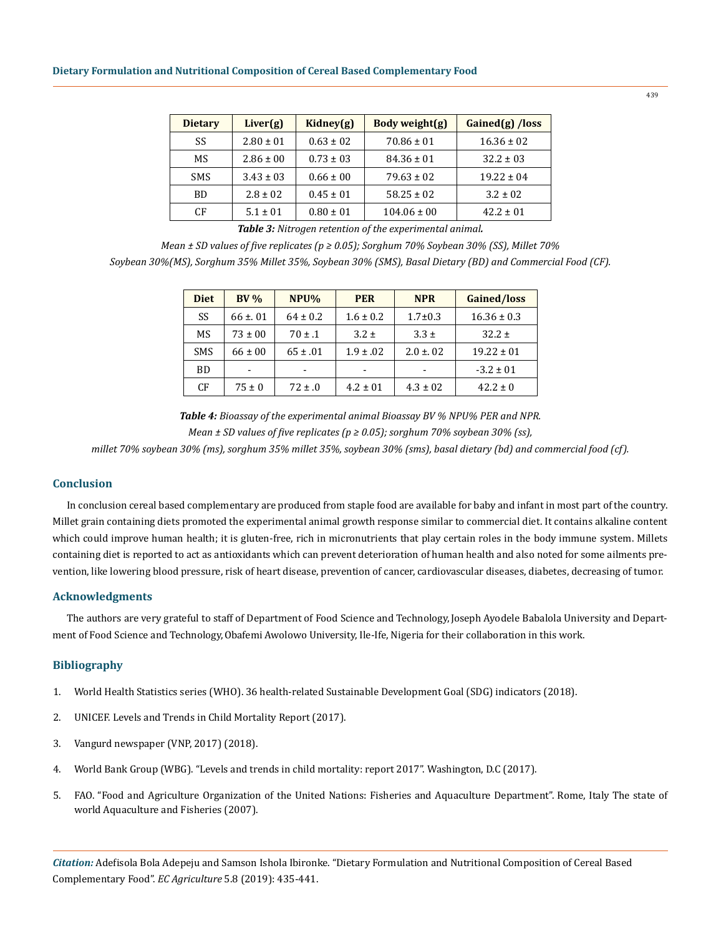| <b>Dietary</b> | Liver(g)      | Kidney(g)     | Body weight(g)  | Gained(g) /loss |
|----------------|---------------|---------------|-----------------|-----------------|
| SS             | $2.80 \pm 01$ | $0.63 \pm 02$ | $70.86 \pm 01$  | $16.36 \pm 02$  |
| MS             | $2.86 \pm 00$ | $0.73 \pm 03$ | $84.36 \pm 01$  | $32.2 \pm 03$   |
| <b>SMS</b>     | $3.43 \pm 03$ | $0.66 \pm 00$ | $79.63 \pm 02$  | $19.22 \pm 04$  |
| <b>BD</b>      | $2.8 \pm 0.2$ | $0.45 \pm 01$ | $58.25 \pm 02$  | $3.2 \pm 0.2$   |
| CF             | $5.1 \pm 01$  | $0.80 \pm 01$ | $104.06 \pm 00$ | $42.2 \pm 01$   |

*Table 3: Nitrogen retention of the experimental animal.*

*Mean ± SD values of five replicates (p ≥ 0.05); Sorghum 70% Soybean 30% (SS), Millet 70% Soybean 30%(MS), Sorghum 35% Millet 35%, Soybean 30% (SMS), Basal Dietary (BD) and Commercial Food (CF).*

| <b>Diet</b> | BV%         | NPU%         | <b>PER</b>               | <b>NPR</b>     | <b>Gained/loss</b> |
|-------------|-------------|--------------|--------------------------|----------------|--------------------|
| SS          | $66 \pm 01$ | $64 \pm 0.2$ | $1.6 \pm 0.2$            | $1.7 \pm 0.3$  | $16.36 \pm 0.3$    |
| MS          | $73 \pm 00$ | $70 \pm .1$  | $3.2 \pm$                | $3.3 \pm$      | $32.2 \pm$         |
| <b>SMS</b>  | $66 \pm 00$ | $65 \pm .01$ | $1.9 \pm .02$            | $2.0 \pm 0.02$ | $19.22 \pm 01$     |
| <b>BD</b>   | -           | ۰            | $\overline{\phantom{0}}$ |                | $-3.2 \pm 01$      |
| CF          | $75 \pm 0$  | $72 \pm .0$  | $4.2 \pm 01$             | $4.3 \pm 02$   | $42.2 \pm 0$       |

*Table 4: Bioassay of the experimental animal Bioassay BV % NPU% PER and NPR. Mean ± SD values of five replicates (p ≥ 0.05); sorghum 70% soybean 30% (ss),* 

*millet 70% soybean 30% (ms), sorghum 35% millet 35%, soybean 30% (sms), basal dietary (bd) and commercial food (cf).*

#### **Conclusion**

In conclusion cereal based complementary are produced from staple food are available for baby and infant in most part of the country. Millet grain containing diets promoted the experimental animal growth response similar to commercial diet. It contains alkaline content which could improve human health; it is gluten-free, rich in micronutrients that play certain roles in the body immune system. Millets containing diet is reported to act as antioxidants which can prevent deterioration of human health and also noted for some ailments prevention, like lowering blood pressure, risk of heart disease, prevention of cancer, cardiovascular diseases, diabetes, decreasing of tumor.

# **Acknowledgments**

The authors are very grateful to staff of Department of Food Science and Technology, Joseph Ayodele Babalola University and Department of Food Science and Technology,Obafemi Awolowo University, Ile-Ife, Nigeria for their collaboration in this work.

# **Bibliography**

- 1. [World Health Statistics series \(WHO\). 36 health-related Sustainable Development Goal \(SDG\) indicators \(2018\).](https://www.who.int/sdg/en/)
- 2. [UNICEF. Levels and Trends in Child Mortality Report \(2017\).](https://data.unicef.org/resources/levels-and-trends-in-child-mortality/)
- 3. [Vangurd newspaper \(VNP, 2017\) \(2018\).](https://www.vanguardngr.com/2018/09/6-3m-children-died-in-2017-un-report/)
- 4. [World Bank Group \(WBG\). "Levels and trends in child mortality: report 2017". Washington, D.C \(2017\).](http://documents.worldbank.org/curated/en/home)
- 5. [FAO. "Food and Agriculture Organization of the United Nations: Fisheries and Aquaculture Department". Rome, Italy The state of](http://www.fao.org/fishery/en)  [world Aquaculture and Fisheries \(2007\).](http://www.fao.org/fishery/en)

*Citation:* Adefisola Bola Adepeju and Samson Ishola Ibironke. "Dietary Formulation and Nutritional Composition of Cereal Based Complementary Food". *EC Agriculture* 5.8 (2019): 435-441.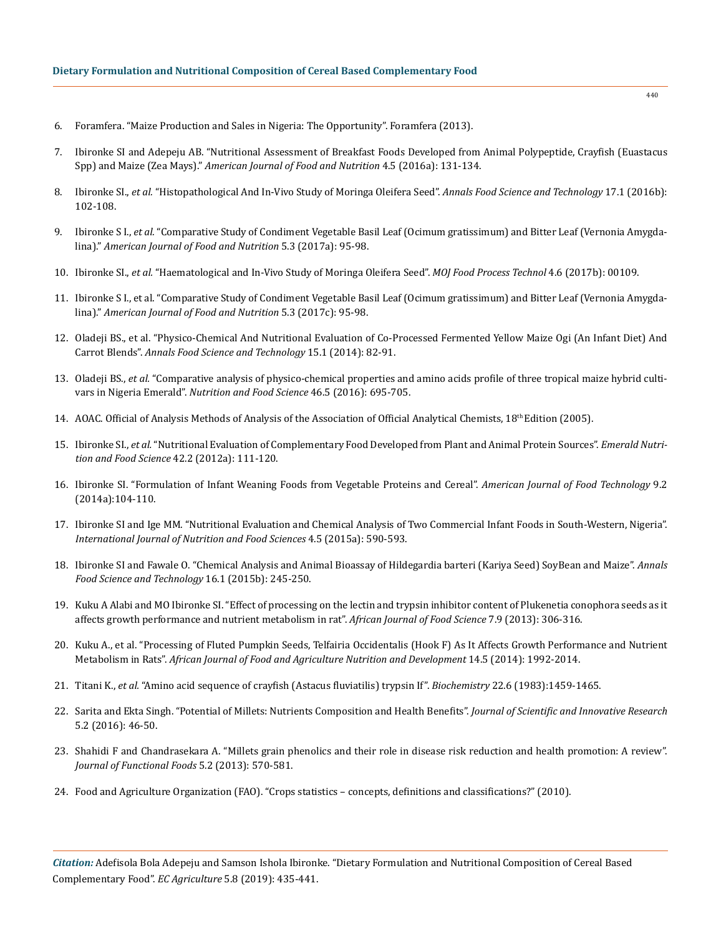- 6. [Foramfera. "Maize Production and Sales in Nigeria: The Opportunity". Foramfera \(2013\).](https://foramfera.com/)
- 7. [Ibironke SI and Adepeju AB. "Nutritional Assessment of Breakfast Foods Developed from Animal Polypeptide, Crayfish \(Euastacus](http://pubs.sciepub.com/ajfn/4/5/3/)  Spp) and Maize (Zea Mays)." *[American Journal of Food and Nutrition](http://pubs.sciepub.com/ajfn/4/5/3/)* 4.5 (2016a): 131-134.
- 8. Ibironke SI., *et al.* ["Histopathological And In-Vivo Study of Moringa Oleifera Seed".](https://pdfs.semanticscholar.org/bfcc/0911053f7a0ad7aa1a1379df01a4f83d1389.pdf) *Annals Food Science and Technology* 17.1 (2016b): [102-108.](https://pdfs.semanticscholar.org/bfcc/0911053f7a0ad7aa1a1379df01a4f83d1389.pdf)
- 9. Ibironke S I., *et al.* "Comparative Study of Condiment Vegetable Basil Leaf (Ocimum gratissimum) and Bitter Leaf (Vernonia Amygdalina)." *American Journal of Food and Nutrition* 5.3 (2017a): 95-98.
- 10. Ibironke SI., *et al.* ["Haematological and In-Vivo Study of Moringa Oleifera Seed".](https://medcraveonline.com/MOJFPT/MOJFPT-04-00109.pdf) *MOJ Food Process Technol* 4.6 (2017b): 00109.
- 11. [Ibironke S I., et al. "Comparative Study of Condiment Vegetable Basil Leaf \(Ocimum gratissimum\) and Bitter Leaf \(Vernonia Amygda](https://www.academia.edu/36182749/Comparative_Study_of_Condiment_Vegetable_Basil_Leaf_Ocimum_gratissimum_and_Bitter_Leaf_Vernonia_Amygdalina)lina)." *[American Journal of Food and Nutrition](https://www.academia.edu/36182749/Comparative_Study_of_Condiment_Vegetable_Basil_Leaf_Ocimum_gratissimum_and_Bitter_Leaf_Vernonia_Amygdalina)* 5.3 (2017c): 95-98.
- 12. [Oladeji BS., et al. "Physico-Chemical And Nutritional Evaluation of Co-Processed Fermented Yellow Maize Ogi \(An Infant Diet\) And](https://www.academia.edu/23337243/PHYSICO-CHEMICAL_AND_NUTRITIONAL_EVALUATION_OF_CO-PROCESSED_FERMENTED_YELLOW_MAIZE_OGI_AN_INFANT_DIET_AND_CARROT_BLENDS)  Carrot Blends". *Annals [Food Science and Technology](https://www.academia.edu/23337243/PHYSICO-CHEMICAL_AND_NUTRITIONAL_EVALUATION_OF_CO-PROCESSED_FERMENTED_YELLOW_MAIZE_OGI_AN_INFANT_DIET_AND_CARROT_BLENDS)* 15.1 (2014): 82-91.
- 13. Oladeji BS., *et al.* ["Comparative analysis of physico-chemical properties and amino acids profile of three tropical maize hybrid culti](https://www.emerald.com/insight/content/doi/10.1108/NFS-10-2015-0120/full/html)vars in Nigeria Emerald". *[Nutrition and Food Science](https://www.emerald.com/insight/content/doi/10.1108/NFS-10-2015-0120/full/html)* 46.5 (2016): 695-705.
- 14. AOAC. Official of Analysis Methods of Analysis of the Association of Official Analytical Chemists,  $18<sup>th</sup>$  Edition (2005).
- 15. Ibironke SI., *et al.* ["Nutritional Evaluation of Complementary Food Developed from Plant and Animal Protein Sources".](https://www.emerald.com/insight/content/doi/10.1108/00346651211212079/full/html) *Emerald Nutri[tion and Food Science](https://www.emerald.com/insight/content/doi/10.1108/00346651211212079/full/html)* 42.2 (2012a): 111-120.
- 16. [Ibironke SI. "Formulation of Infant Weaning Foods from Vegetable Proteins and Cereal".](https://scialert.net/fulltextmobile/?doi=ajft.2014.104.110) *American Journal of Food Technology* 9.2 [\(2014a\):104-110.](https://scialert.net/fulltextmobile/?doi=ajft.2014.104.110)
- 17. [Ibironke SI and Ige MM. "Nutritional Evaluation and Chemical Analysis of Two Commercial Infant Foods in South-Western, Nigeria".](http://article.sciencepublishinggroup.com/html/10.11648.j.ijnfs.20150405.22.html)  *[International Journal of Nutrition and Food Sciences](http://article.sciencepublishinggroup.com/html/10.11648.j.ijnfs.20150405.22.html)* 4.5 (2015a): 590-593.
- 18. [Ibironke SI and Fawale O. "Chemical Analysis and Animal Bioassay of Hildegardia barteri \(Kariya Seed\) SoyBean and Maize".](https://www.researchgate.net/publication/305767176_CHEMICAL_ANALYSIS_AND_ANIMAL_BIOASSAY_OF_HILDEGARDIA_BARTERI_KARIYA_SEED_SOY_BEAN_AND_MAIZE) *Annals [Food Science and Technology](https://www.researchgate.net/publication/305767176_CHEMICAL_ANALYSIS_AND_ANIMAL_BIOASSAY_OF_HILDEGARDIA_BARTERI_KARIYA_SEED_SOY_BEAN_AND_MAIZE)* 16.1 (2015b): 245-250.
- 19. [Kuku A Alabi and MO Ibironke SI. "Effect of processing on the lectin and trypsin inhibitor content of Plukenetia conophora seeds as it](https://pdfs.semanticscholar.org/df9b/17678cd2597eb89614adce5f032b1c54b567.pdf)  [affects growth performance and nutrient metabolism in rat".](https://pdfs.semanticscholar.org/df9b/17678cd2597eb89614adce5f032b1c54b567.pdf) *African Journal of Food Science* 7.9 (2013): 306-316.
- 20. [Kuku A., et al. "Processing of Fluted Pumpkin Seeds, Telfairia Occidentalis \(Hook F\) As It Affects Growth Performance and Nutrient](https://www.ajol.info/index.php/ajfand/article/view/107900)  Metabolism in Rats". *[African Journal of Food and Agriculture Nutrition and Development](https://www.ajol.info/index.php/ajfand/article/view/107900)* 14.5 (2014): 1992-2014.
- 21. Titani K., *et al.* ["Amino acid sequence of crayfish \(Astacus fluviatilis\) trypsin If".](https://www.ncbi.nlm.nih.gov/pubmed/6838862) *Biochemistry* 22.6 (1983):1459-1465.
- 22. [Sarita and Ekta Singh. "Potential of Millets: Nutrients Composition and Health Benefits".](http://www.jsirjournal.com/Vol5_Issue2_04.pdf) *Journal of Scientific and Innovative Research* [5.2 \(2016\): 46-50.](http://www.jsirjournal.com/Vol5_Issue2_04.pdf)
- 23. [Shahidi F and Chandrasekara A. "Millets grain phenolics and their role in disease risk reduction and health promotion: A review".](https://www.sciencedirect.com/science/article/pii/S1756464613000625)  *[Journal of Functional Foods](https://www.sciencedirect.com/science/article/pii/S1756464613000625)* 5.2 (2013): 570-581.
- 24. [Food and Agriculture Organization \(FAO\). "Crops statistics concepts, definitions and classifications?" \(2010\).](http://www.fao.org/economic/ess/methodology)

*Citation:* Adefisola Bola Adepeju and Samson Ishola Ibironke. "Dietary Formulation and Nutritional Composition of Cereal Based Complementary Food". *EC Agriculture* 5.8 (2019): 435-441.

440